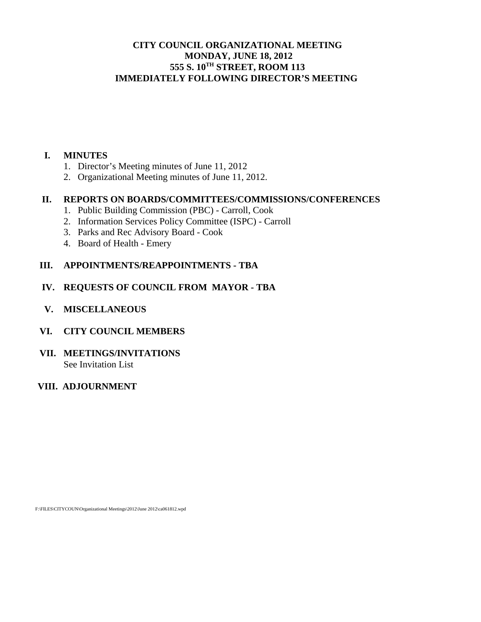# **CITY COUNCIL ORGANIZATIONAL MEETING MONDAY, JUNE 18, 2012 555 S. 10TH STREET, ROOM 113 IMMEDIATELY FOLLOWING DIRECTOR'S MEETING**

## **I. MINUTES**

- 1. Director's Meeting minutes of June 11, 2012
- 2. Organizational Meeting minutes of June 11, 2012.

#### **II. REPORTS ON BOARDS/COMMITTEES/COMMISSIONS/CONFERENCES**

- 1. Public Building Commission (PBC) Carroll, Cook
- 2. Information Services Policy Committee (ISPC) Carroll
- 3. Parks and Rec Advisory Board Cook
- 4. Board of Health Emery

## **III. APPOINTMENTS/REAPPOINTMENTS - TBA**

#### **IV. REQUESTS OF COUNCIL FROM MAYOR - TBA**

 **V. MISCELLANEOUS** 

#### **VI. CITY COUNCIL MEMBERS**

**VII. MEETINGS/INVITATIONS**  See Invitation List

## **VIII. ADJOURNMENT**

F:\FILES\CITYCOUN\Organizational Meetings\2012\June 2012\ca061812.wpd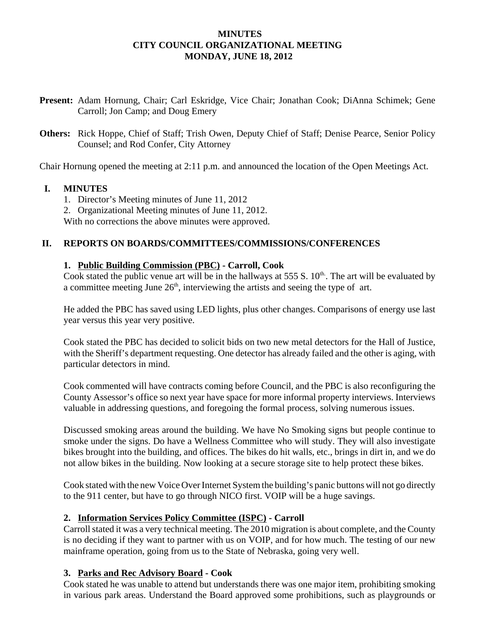## **MINUTES CITY COUNCIL ORGANIZATIONAL MEETING MONDAY, JUNE 18, 2012**

- **Present:** Adam Hornung, Chair; Carl Eskridge, Vice Chair; Jonathan Cook; DiAnna Schimek; Gene Carroll; Jon Camp; and Doug Emery
- **Others:** Rick Hoppe, Chief of Staff; Trish Owen, Deputy Chief of Staff; Denise Pearce, Senior Policy Counsel; and Rod Confer, City Attorney

Chair Hornung opened the meeting at 2:11 p.m. and announced the location of the Open Meetings Act.

## **I. MINUTES**

- 1. Director's Meeting minutes of June 11, 2012
- 2. Organizational Meeting minutes of June 11, 2012.

With no corrections the above minutes were approved.

## **II. REPORTS ON BOARDS/COMMITTEES/COMMISSIONS/CONFERENCES**

## **1. Public Building Commission (PBC) - Carroll, Cook**

Cook stated the public venue art will be in the hallways at 555 S.  $10^{th}$ . The art will be evaluated by a committee meeting June  $26<sup>th</sup>$ , interviewing the artists and seeing the type of art.

He added the PBC has saved using LED lights, plus other changes. Comparisons of energy use last year versus this year very positive.

Cook stated the PBC has decided to solicit bids on two new metal detectors for the Hall of Justice, with the Sheriff's department requesting. One detector has already failed and the other is aging, with particular detectors in mind.

Cook commented will have contracts coming before Council, and the PBC is also reconfiguring the County Assessor's office so next year have space for more informal property interviews. Interviews valuable in addressing questions, and foregoing the formal process, solving numerous issues.

Discussed smoking areas around the building. We have No Smoking signs but people continue to smoke under the signs. Do have a Wellness Committee who will study. They will also investigate bikes brought into the building, and offices. The bikes do hit walls, etc., brings in dirt in, and we do not allow bikes in the building. Now looking at a secure storage site to help protect these bikes.

Cook stated with the new Voice Over Internet System the building's panic buttons will not go directly to the 911 center, but have to go through NICO first. VOIP will be a huge savings.

# **2. Information Services Policy Committee (ISPC) - Carroll**

Carroll stated it was a very technical meeting. The 2010 migration is about complete, and the County is no deciding if they want to partner with us on VOIP, and for how much. The testing of our new mainframe operation, going from us to the State of Nebraska, going very well.

#### **3. Parks and Rec Advisory Board - Cook**

Cook stated he was unable to attend but understands there was one major item, prohibiting smoking in various park areas. Understand the Board approved some prohibitions, such as playgrounds or